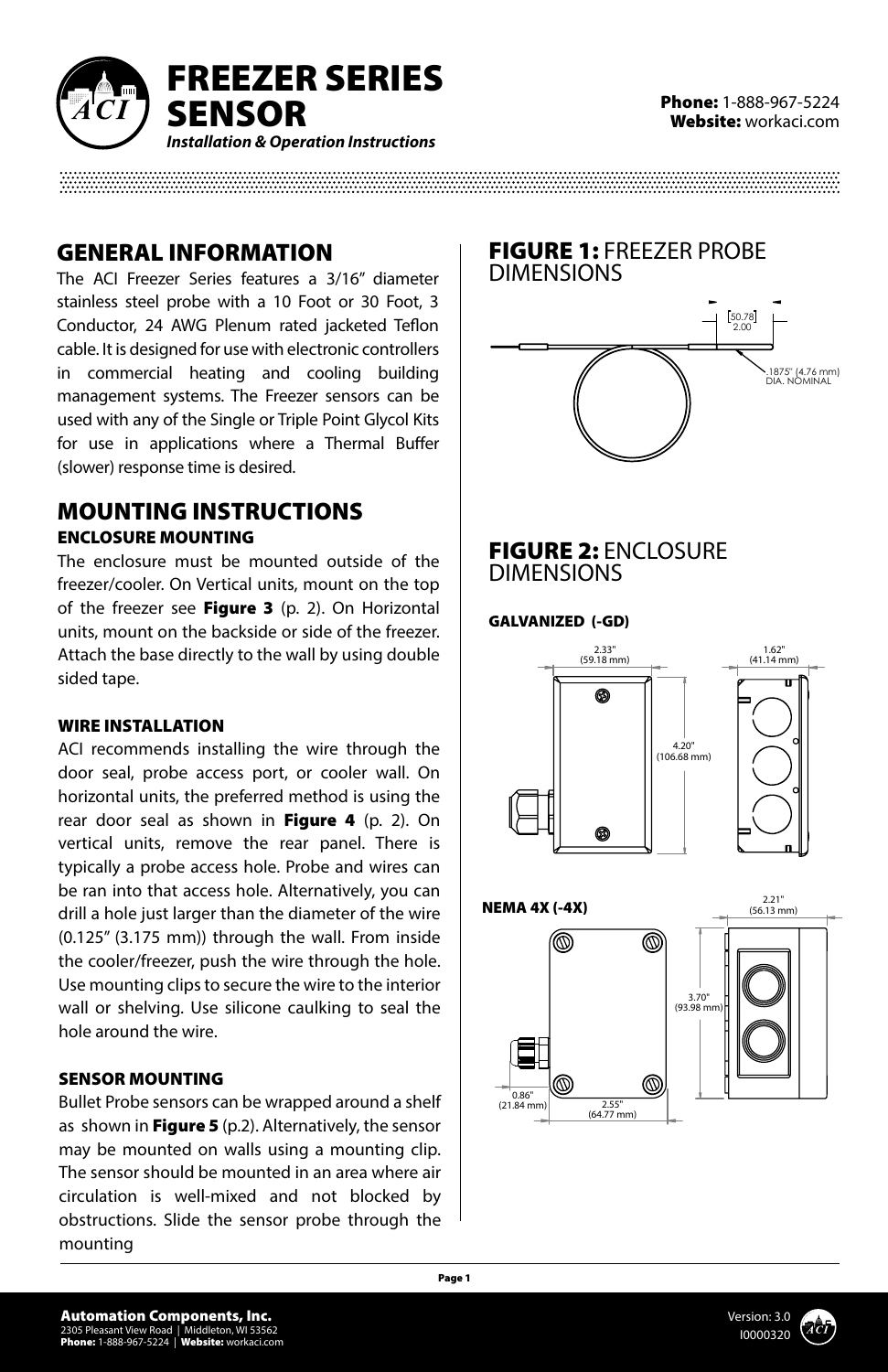

### GENERAL INFORMATION

The ACI Freezer Series features a 3/16" diameter stainless steel probe with a 10 Foot or 30 Foot, 3 Conductor, 24 AWG Plenum rated jacketed Teflon cable. It is designed for use with electronic controllers in commercial heating and cooling building management systems. The Freezer sensors can be used with any of the Single or Triple Point Glycol Kits for use in applications where a Thermal Buffer (slower) response time is desired.

### MOUNTING INSTRUCTIONS ENCLOSURE MOUNTING

The enclosure must be mounted outside of the freezer/cooler. On Vertical units, mount on the top of the freezer see Figure 3 (p. 2). On Horizontal units, mount on the backside or side of the freezer. Attach the base directly to the wall by using double sided tape.

### WIRE INSTALLATION

ACI recommends installing the wire through the door seal, probe access port, or cooler wall. On horizontal units, the preferred method is using the rear door seal as shown in Figure 4 (p. 2). On vertical units, remove the rear panel. There is typically a probe access hole. Probe and wires can be ran into that access hole. Alternatively, you can drill a hole just larger than the diameter of the wire (0.125" (3.175 mm)) through the wall. From inside the cooler/freezer, push the wire through the hole. Use mounting clips to secure the wire to the interior wall or shelving. Use silicone caulking to seal the hole around the wire.

### SENSOR MOUNTING

Bullet Probe sensors can be wrapped around a shelf as shown in Figure 5  $(p.2)$ . Alternatively, the sensor may be mounted on walls using a mounting clip. The sensor should be mounted in an area where air circulation is well-mixed and not blocked by obstructions. Slide the sensor probe through the mounting



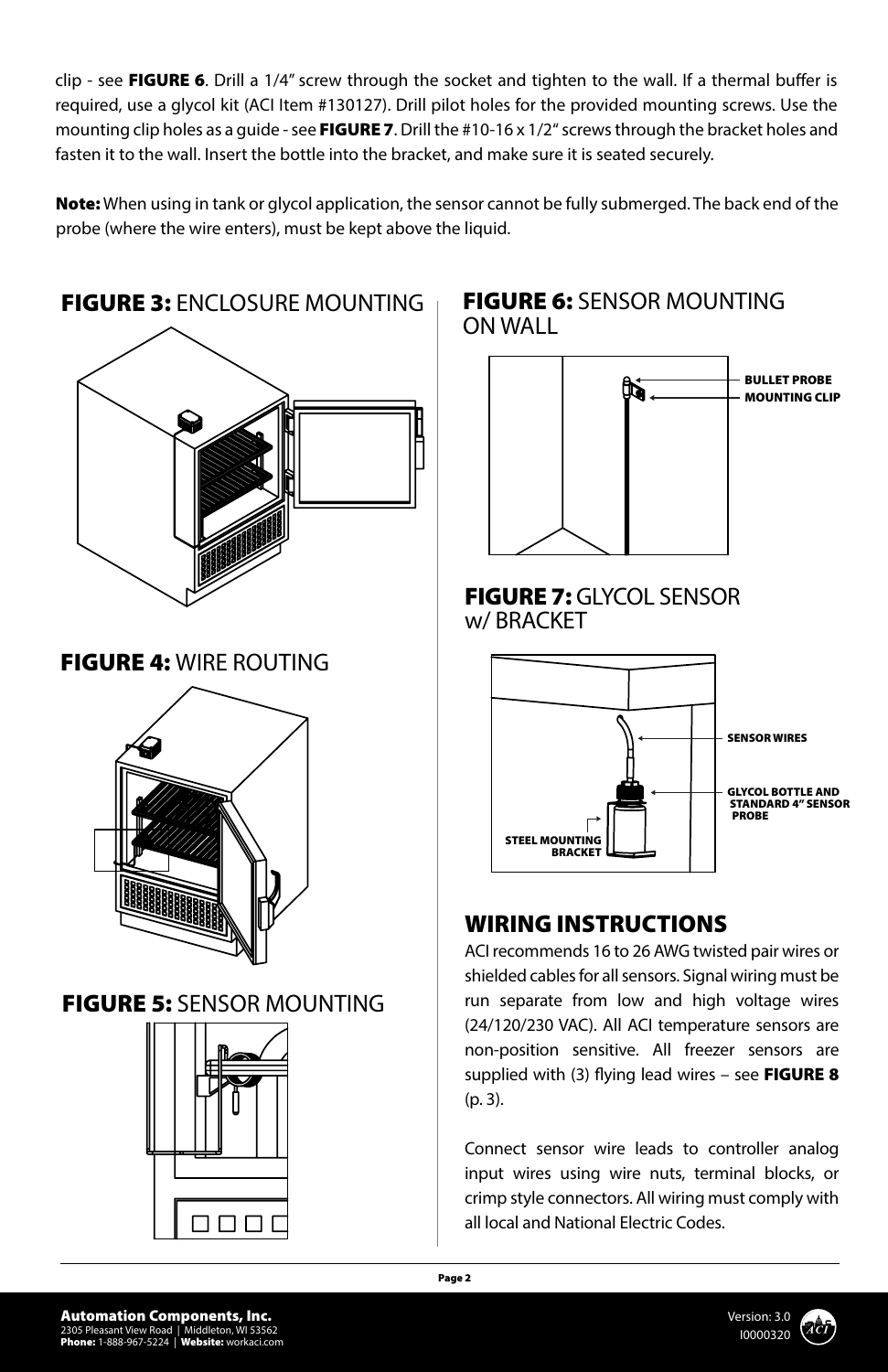clip - see FIGURE 6. Drill a 1/4" screw through the socket and tighten to the wall. If a thermal buffer is required, use a glycol kit (ACI Item #130127). Drill pilot holes for the provided mounting screws. Use the mounting clip holes as a guide - see FIGURE 7. Drill the #10-16 x  $1/2''$  screws through the bracket holes and fasten it to the wall. Insert the bottle into the bracket, and make sure it is seated securely.

Note: When using in tank or glycol application, the sensor cannot be fully submerged. The back end of the probe (where the wire enters), must be kept above the liquid.



### FIGURE 6: SENSOR MOUNTING ON WALL





# WIRING INSTRUCTIONS

ACI recommends 16 to 26 AWG twisted pair wires or shielded cables for all sensors. Signal wiring must be run separate from low and high voltage wires (24/120/230 VAC). All ACI temperature sensors are non-position sensitive. All freezer sensors are supplied with (3) flying lead wires – see FIGURE 8 (p. 3).

Connect sensor wire leads to controller analog input wires using wire nuts, terminal blocks, or crimp style connectors. All wiring must comply with all local and National Electric Codes.

 $\Box$  $\Box$  $\Box$ 

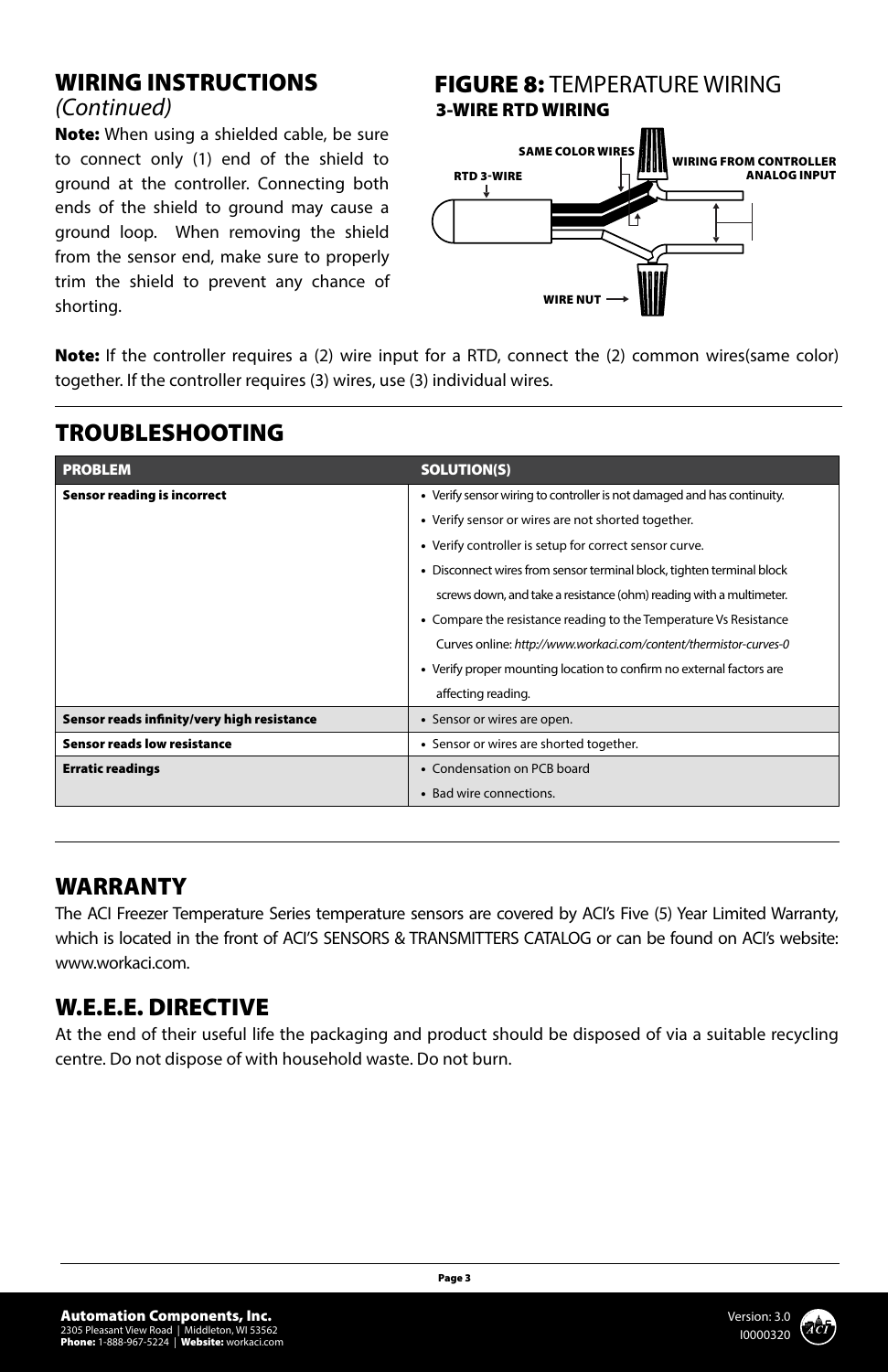### WIRING INSTRUCTIONS

### *(Continued)*

Note: When using a shielded cable, be sure to connect only (1) end of the shield to ground at the controller. Connecting both ends of the shield to ground may cause a ground loop. When removing the shield from the sensor end, make sure to properly trim the shield to prevent any chance of shorting.

### **FIGURE 8: TEMPERATURE WIRING** 3-WIRE RTD WIRING



Note: If the controller requires a (2) wire input for a RTD, connect the (2) common wires(same color) together. If the controller requires (3) wires, use (3) individual wires.

| <b>PROBLEM</b>                             | <b>SOLUTION(S)</b>                                                      |
|--------------------------------------------|-------------------------------------------------------------------------|
| Sensor reading is incorrect                | • Verify sensor wiring to controller is not damaged and has continuity. |
|                                            | • Verify sensor or wires are not shorted together.                      |
|                                            | • Verify controller is setup for correct sensor curve.                  |
|                                            | • Disconnect wires from sensor terminal block, tighten terminal block   |
|                                            | screws down, and take a resistance (ohm) reading with a multimeter.     |
|                                            | • Compare the resistance reading to the Temperature Vs Resistance       |
|                                            | Curves online: http://www.workaci.com/content/thermistor-curves-0       |
|                                            | • Verify proper mounting location to confirm no external factors are    |
|                                            | affecting reading.                                                      |
| Sensor reads infinity/very high resistance | • Sensor or wires are open.                                             |
| <b>Sensor reads low resistance</b>         | • Sensor or wires are shorted together.                                 |
| <b>Erratic readings</b>                    | • Condensation on PCB board                                             |
|                                            | • Bad wire connections.                                                 |

# TROUBLESHOOTING

## WARRANTY

The ACI Freezer Temperature Series temperature sensors are covered by ACI's Five (5) Year Limited Warranty, which is located in the front of ACI'S SENSORS & TRANSMITTERS CATALOG or can be found on ACI's website: www.workaci.com.

## W.E.E.E. DIRECTIVE

At the end of their useful life the packaging and product should be disposed of via a suitable recycling centre. Do not dispose of with household waste. Do not burn.